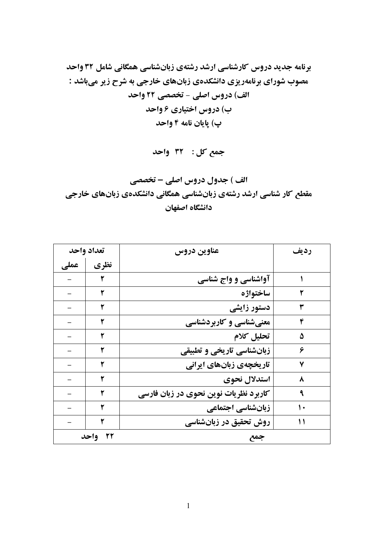برنامه جدید دروس کارشناسی ارشد رشتهی زبانشناسی همگانی شامل 32 واحد مصوب شورای برنامهریزی دانشکدهی زبانهای خارجی به شرح زیر میباشد :

جمع کل: ۳۲ واحد

الف ) جدول دروس اصلی - تخصصی مقطع کار شناسی ارشد رشتهی زبانشناسی همگانی دانشکدهی زبانهای خارجی دانشگاه اصفهان

| تعداد واحد |      | عناوين دروس                           | رديف |
|------------|------|---------------------------------------|------|
| عملى       | نظري |                                       |      |
|            | ٢    | آواشناسی و واج شناسی                  |      |
|            | ۲    | ساختواژه                              | ٢    |
|            | ۲    | دستور زایشی                           | ٣    |
|            | ۲    | معنیشناسی و کاربردشناسی               | ۴    |
|            | ۲    | تحليل كلام                            | ۵    |
|            | ۲    | زبانشناسی تاریخی و تطبیقی             | ۶    |
|            |      | تاریخچهی زبانهای ایرانی               | ۷    |
|            | ۲    | استدلال نحوي                          | ٨    |
|            | ۲    | کاربرد نظریات نوین نحوی در زبان فارسی | ٩    |
|            |      | زبانشناسی اجتماعی                     | ۱۰   |
|            | ۲    | روش تحقیق در زبانشناسی                | ۱۱   |
| ۲۲ واحد    |      | جمع                                   |      |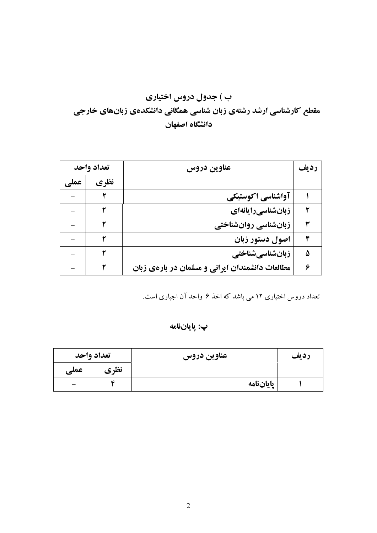# ب ) جدول دروس اختیاری مقطع کارشناسی ارشد رشتهی زبان شناسی همگانی دانشکدهی زبانهای خارجی دانشگاه اصفهان

| تعداد واحد |      | عناوين دروس                                     |   |
|------------|------|-------------------------------------------------|---|
| عملے       | نظري |                                                 |   |
|            |      | آواشناسي اكوستيكي                               |   |
|            |      | زبانشناسیرایانهای                               |   |
|            |      | زبانشناسی روانشناختی                            |   |
|            |      | اصول دستور زبان                                 | ۴ |
|            |      | زبانشناسيشناختي                                 | ۵ |
|            |      | مطالعات دانشمندان ایرانی و مسلمان در بارهی زبان | ۶ |

تعداد دروس اختیاری ۱۲ می باشد که اخذ ۶ واحد آن اجباری است.

### پ: پاياننامه

| تعداد واحد |                | عناوين دروس | رديف |
|------------|----------------|-------------|------|
| عملی       | نظري           |             |      |
|            | $\overline{c}$ | پاياننامه   |      |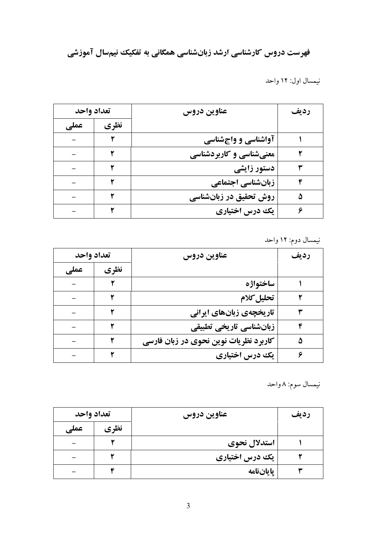فهرست دروس کارشناسی ارشد زبانشناسی همگانی به تفکیک نیمسال آموزشی

نیمسال اول: ۱۲ واحد

| تعداد واحد |      | عناوين دروس             | رديف |  |
|------------|------|-------------------------|------|--|
| عملى       | نظري |                         |      |  |
|            |      | آواشناسی و واجشناسی     |      |  |
|            |      | معنیشناسی و کاربردشناسی |      |  |
|            |      | دستور زایشی             |      |  |
|            |      | زبانشناسی اجتماعی       |      |  |
|            |      | روش تحقیق در زبانشناسی  |      |  |
|            |      | یک درس اختیاری          |      |  |

نیمسال دوم: ۱۲ واحد

| تعداد واحد |      | عناوين دروس                           | رديف |
|------------|------|---------------------------------------|------|
| عملى       | نظري |                                       |      |
|            |      | ساختواژه                              |      |
|            |      | تحليل كلام                            |      |
|            |      | تاریخچهی زبانهای ایرانی               |      |
|            |      | زبانشناسی تاریخی تطبیقی               |      |
|            |      | کاربرد نظریات نوین نحوی در زبان فارسی | ۵    |
|            |      | یک درس اختیاری                        |      |

نيمسال سوم: ٨ واحد

| تعداد واحد |      | عناوين دروس    | رديف |
|------------|------|----------------|------|
| عملى       | نظري |                |      |
|            |      | استدلال نحوي   |      |
|            |      | یک درس اختیاری |      |
|            | ٨C   | ياياننامه      |      |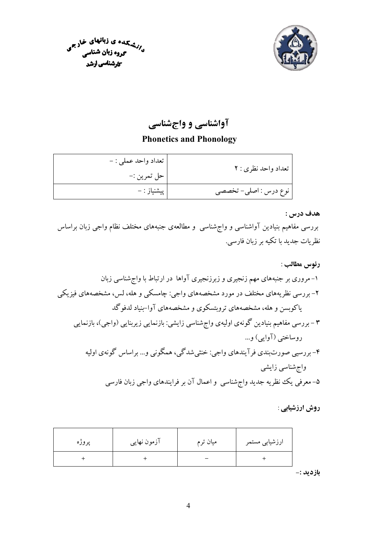



# آواشناسی و واجشناسی

## **Phonetics and Phonology**

| تعداد واحد نظري : ٢   | تعداد واحد عملي : - |
|-----------------------|---------------------|
|                       | حل تمرين :-         |
| نوع درس : اصلي- تخصصي | پیشنیاز : –         |

هدف درس :

بررسی مفاهیم بنیادین آواشناسی و واج شناسی ًو مطالعهی جنبههای مختلف نظام واجی زبان براساس نظریات جدید با تکیه بر زبان فارسی.

### روش ارزشیابی :

| پروژه | آزمون نهایی | میان ترم | ارزشیابی مستمر |
|-------|-------------|----------|----------------|
|       |             |          |                |

بازديد :-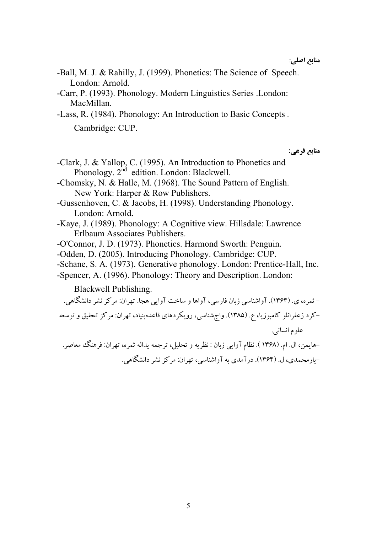- -Ball, M. J. & Rahilly, J. (1999). Phonetics: The Science of Speech. London: Arnold.
- -Carr, P. (1993). Phonology. Modern Linguistics Series .London: MacMillan.

-Lass, R. (1984). Phonology: An Introduction to Basic Concepts. Cambridge: CUP.

منابع فرعے :

- -Clark, J. & Yallop, C. (1995). An Introduction to Phonetics and Phonology. 2<sup>nd</sup> edition. London: Blackwell.
- -Chomsky, N. & Halle, M. (1968). The Sound Pattern of English. New York: Harper & Row Publishers.
- -Gussenhoven, C. & Jacobs, H. (1998). Understanding Phonology. London: Arnold.
- -Kaye, J. (1989). Phonology: A Cognitive view. Hillsdale: Lawrence Erlbaum Associates Publishers.
- -O'Connor, J. D. (1973). Phonetics. Harmond Sworth: Penguin.
- -Odden, D. (2005). Introducing Phonology. Cambridge: CUP.
- -Schane, S. A. (1973). Generative phonology. London: Prentice-Hall, Inc.
- -Spencer, A. (1996). Phonology: Theory and Description. London:

Blackwell Publishing.

– ثمره، ی. (۱۳۶۴). آواشناسی زبان فارسی، آواها و ساخت آوایی هجا. تهران: مرکز نشر دانشگاهی. –کرد زعفرانلو کامبوزیا، ع. (۱۳۸۵). واج شناسی، رویکردهای قاعدهبنیاد، تهران: مرکز تحقیق و توسعه علوم انساني. -هايمن، ال. ام. (١٣۶٨). نظام آوايي زبان : نظريه و تحليل، ترجمه يداله ثمره، تهران: فرهنگ معاصر. -بارمحمدی، ل. (۱۳۶۴). در آمدی به آواشناسه ، تهران: مرکز نشر دانشگاهه .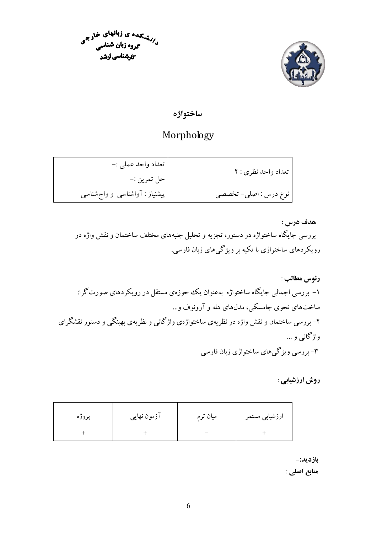

رزشتهان ی زبانهای خارجی<br>د/زشتهای در زبان شنا **گروه زبان شناسی کارشناسی ارشد** 

ساختواژه

## Morphology

| تعداد واحد نظري : ٢   | تعداد واحد عملي :-<br>حل تمرين :- |
|-----------------------|-----------------------------------|
| نوع درس : اصلی- تخصصی | پیشنیاز : آواشناسی و واج شناسی    |

هدف درس : بررسی جایگاه ساختواژه در دستور، تجزیه و تحلیل جنبههای مختلف ساختمان و نقش واژه در رویکر دهای ساختواژی با تکیه بر ویژگی های زبان فارسی.

رئوس مطالب : ۱– بررسی اجمالی جایگاه ساختواژه بهعنوان یک حوزهی مستقل در رویکردهای صورت گرا: ساختهای نحوی چامسکی، مدلهای هله و آرونوف و… ۲- بررسی ساختمان و نقش واژه در نظریهی ساختواژهی واژگانی و نظریهی بهینگی و دستور نقشگرای واژگانې و … ۳- بررسی ویژگیهای ساختواژی زبان فارسی

### روش ارزشیابی :

| پروژه | آزمون نهایی | میان ترم | ارزشیابی مستمر |
|-------|-------------|----------|----------------|
|       |             |          |                |

بازديد:-

منابع اصلي :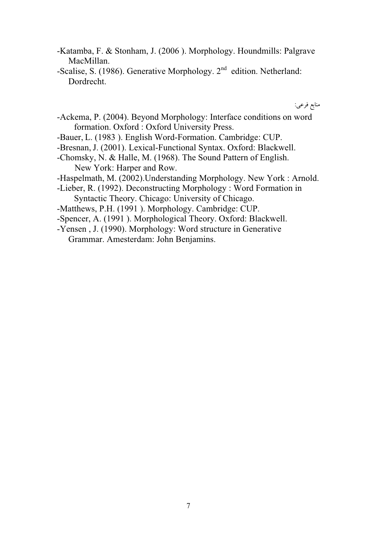- -Katamba, F. & Stonham, J. (2006 ). Morphology. Houndmills: Palgrave MacMillan.
- -Scalise, S. (1986). Generative Morphology.  $2<sup>nd</sup>$  edition. Netherland: Dordrecht.

منابع فرعي:

- -Ackema, P. (2004). Beyond Morphology: Interface conditions on word formation. Oxford : Oxford University Press.
- -Bauer, L. (1983 ). English Word-Formation. Cambridge: CUP.
- -Bresnan, J. (2001). Lexical-Functional Syntax. Oxford: Blackwell.
- -Chomsky, N. & Halle, M. (1968). The Sound Pattern of English. New York: Harper and Row.
- -Haspelmath, M. (2002).Understanding Morphology. New York : Arnold.
- -Lieber, R. (1992). Deconstructing Morphology : Word Formation in Syntactic Theory. Chicago: University of Chicago.
- -Matthews, P.H. (1991 ). Morphology. Cambridge: CUP.
- -Spencer, A. (1991 ). Morphological Theory. Oxford: Blackwell.
- -Yensen , J. (1990). Morphology: Word structure in Generative Grammar. Amesterdam: John Benjamins.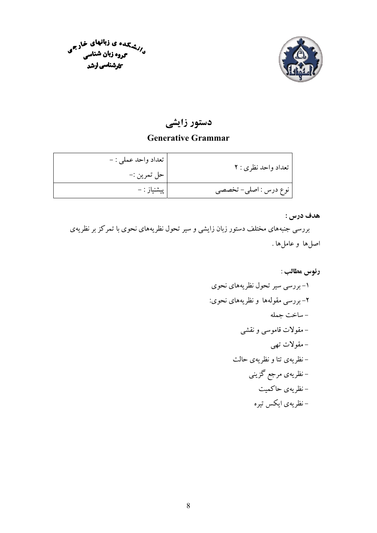



## دستور زایشی

## **Generative Grammar**

| تعداد واحد نظری : ۲   | تعداد واحد عملي : - |
|-----------------------|---------------------|
|                       | حل تمرين :-         |
| نوع درس : اصلي- تخصصي | ٍ پیشنیاز : –       |

هدف درس :

بررسی جنبههای مختلف دستور زبان زایشی و سیر تحول نظریههای نحوی با تمرکز بر نظریهی اصلها و عاملها .

## رئوس مطالب :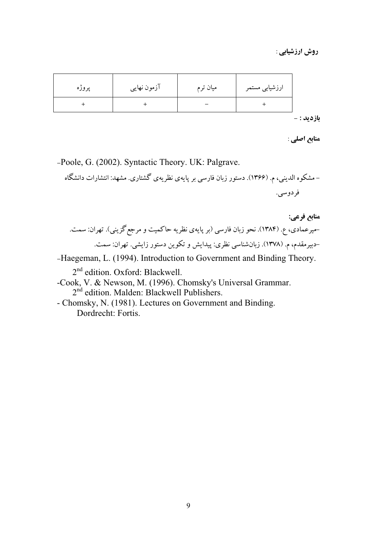روش ارزشیابی :

| پروژه | آزمون نهايي | میان ترم | ارزشیابی مستمر |
|-------|-------------|----------|----------------|
|       |             |          |                |

**بازدید :** –

منابع اصلي :

-Poole, G. (2002). Syntactic Theory. UK: Palgrave.

-Haegeman, L. (1994). Introduction to Government and Binding Theory.

2<sup>nd</sup> edition. Oxford: Blackwell.

- -Cook, V. & Newson, M. (1996). Chomsky's Universal Grammar.  $2<sup>nd</sup>$  edition. Malden: Blackwell Publishers.
- Chomsky, N. (1981). Lectures on Government and Binding. Dordrecht: Fortis.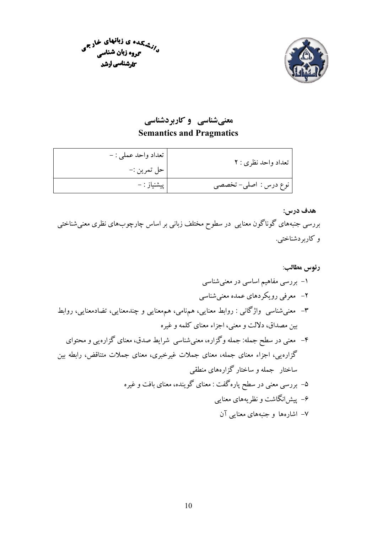



## معنیشناسی و کاربردشناسی **Semantics and Pragmatics**

| تعداد واحد نظري : ٢   | تعداد واحد عملي : - |
|-----------------------|---------------------|
|                       | حل تمرين :-         |
| نوع درس : اصلي- تخصصي | پیشنیاز : –         |

### ھدف درس:

بررسی جنبههای گوناگون معنایی در سطوح مختلف زبانی بر اساس چارچوبهای نظری معنیشناختی و کاربردشناختی.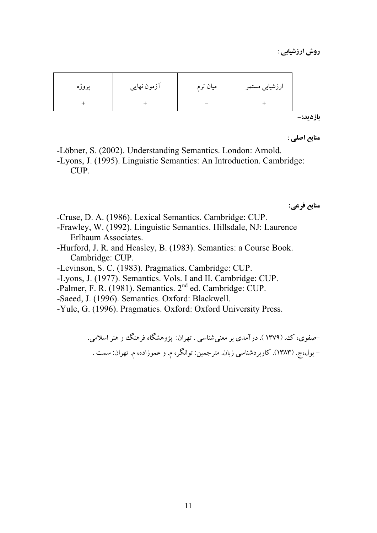| پروژه | آزمون نهایی | میان ترم | ارزشیابی مستمر |
|-------|-------------|----------|----------------|
|       |             |          |                |

بازديد:-

منابع اصلي :

-Löbner, S. (2002). Understanding Semantics. London: Arnold. -Lyons, J. (1995). Linguistic Semantics: An Introduction. Cambridge: CUP.

منابع فرعي:

- -Cruse, D. A. (1986). Lexical Semantics. Cambridge: CUP.
- -Frawley, W. (1992). Linguistic Semantics. Hillsdale, NJ: Laurence Erlbaum Associates.
- -Hurford, J. R. and Heasley, B. (1983). Semantics: a Course Book. Cambridge: CUP.
- -Levinson, S. C. (1983). Pragmatics. Cambridge: CUP.
- -Lyons, J. (1977). Semantics. Vols. I and II. Cambridge: CUP.
- -Palmer, F. R. (1981). Semantics. 2<sup>nd</sup> ed. Cambridge: CUP.
- -Saeed, J. (1996). Semantics. Oxford: Blackwell.
- -Yule, G. (1996). Pragmatics. Oxford: Oxford University Press.

–صفوي، ک. (١٣٧٩ ). در آمدي بر معني شناسي . تهران: پژوهشگاه فرهنگ و هنر اسلامي. – یول،ج. (۱۳۸۳). کاربردشناسی زبان. مترجمین: توانگر، م. و عموزاده، م. تهران: سمت .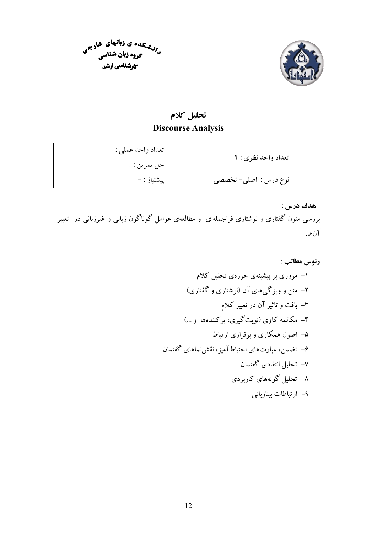



# تحليل كلام

## **Discourse Analysis**

| تعداد واحد نظري : ٢   | تعداد واحد عملي : - |
|-----------------------|---------------------|
|                       | حل تمرين :-         |
| نوع درس : اصلي- تخصصي | پیشنیاز : –         |

## هدف درس :

بررسی متون گفتاری و نوشتاری فراجملهای ًو مطالعهی عوامل گوناگون زبانی و غیرزبانی در تعبیر آنها.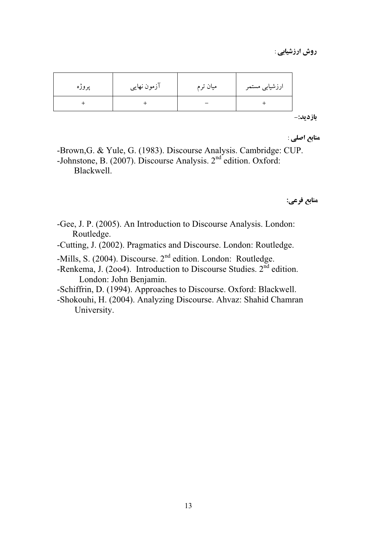روش ارزشیابی :

| پروژه | آزمون نهایی | میان ترم | ارزشیابی مستمر |
|-------|-------------|----------|----------------|
|       |             |          |                |

بازديد:-

منابع اصلي :

-Brown, G. & Yule, G. (1983). Discourse Analysis. Cambridge: CUP. -Johnstone, B. (2007). Discourse Analysis. 2<sup>nd</sup> edition. Oxford: Blackwell.

منابع فرعي:

- -Gee, J. P. (2005). An Introduction to Discourse Analysis. London: Routledge.
- -Cutting, J. (2002). Pragmatics and Discourse. London: Routledge.
- -Mills, S. (2004). Discourse. 2<sup>nd</sup> edition. London: Routledge.
- -Renkema, J. (2004). Introduction to Discourse Studies.  $2<sup>nd</sup>$  edition. London: John Benjamin.
- -Schiffrin, D. (1994). Approaches to Discourse. Oxford: Blackwell.
- -Shokouhi, H. (2004). Analyzing Discourse. Ahvaz: Shahid Chamran University.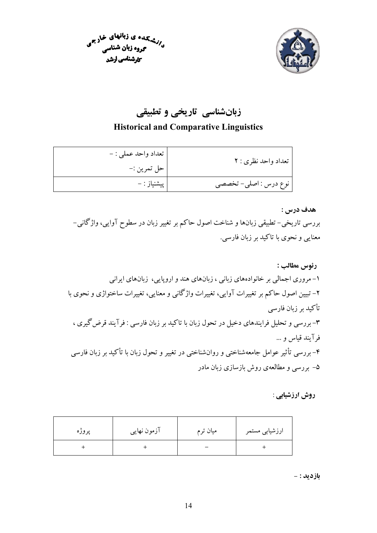



# زبانشناسی تاریخی و تطبیقی

### **Historical and Comparative Linguistics**

| تعداد واحد نظری : ۲   | تعداد واحد عملي : - |
|-----------------------|---------------------|
|                       | حل تمرين :-         |
| نوع درس : اصلی- تخصصی | پیشنیاز : –         |

هدف درس :

بررسی تاریخی– تطبیقی زبانها و شناخت اصول حاکم بر تغییر زبان در سطوح آوایی، واژگانی– معنایی و نحوی با تاکید بر زبان فارسی.

روش ارزشیابی :

| پروژه | آزمون نهایی | میان ترم | ارزشیابی مستمر |
|-------|-------------|----------|----------------|
|       |             |          |                |

**بازدید :** -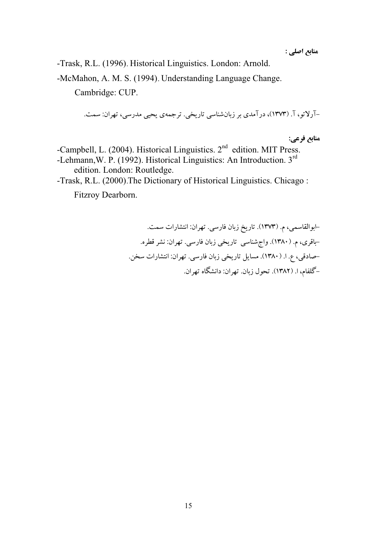منابع اصلي :

-Trask, R.L. (1996). Historical Linguistics. London: Arnold.

-McMahon, A. M. S. (1994). Understanding Language Change.

Cambridge: CUP.

-آرلاتو، آ. (۱۳۷۳)، در آمدي بر زيانشناسي تاريخي. ترجمهي يحيى مدرسي، تهران: سمت.

منابع فرعي:

-Campbell, L. (2004). Historical Linguistics. 2<sup>nd</sup> edition. MIT Press. -Lehmann, W. P. (1992). Historical Linguistics: An Introduction. 3rd edition. London: Routledge. -Trask, R.L. (2000). The Dictionary of Historical Linguistics. Chicago:

Fitzroy Dearborn.

-ابوالقاسمي، م. (١٣٧٣). تاريخ زبان فارسي. تهران: انتشارات سمت. -باقری، م. (۱۳۸۰). واجِشناسی تاریخی زبان فارسی. تهران: نشر قطره. -صادقی، ع. ا. (۱۳۸۰). مسایل تاریخی زبان فارسی. تهران: انتشارات سخن. -گلفام، ا. (١٣٨٢). تحول زبان. تهران: دانشگاه تهران.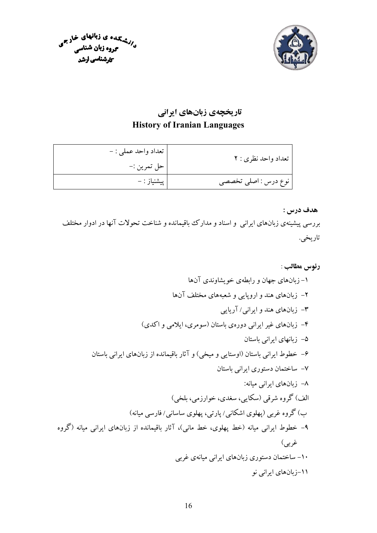



## تاریخچهی زبانهای ایرانی **History of Iranian Languages**

| تعداد واحد نظری : ۲  | تعداد واحد عملي : - |
|----------------------|---------------------|
|                      | حل تمرين :–         |
| نوع درس : اصلی تخصصی | پیشنیاز : –         |

### هدف درس :

بررسی پیشینهی زبانهای ایرانی ًو اسناد و مدارک بباقیمانده و شناخت تحولات آنها در ادوار مختلف تاريخي.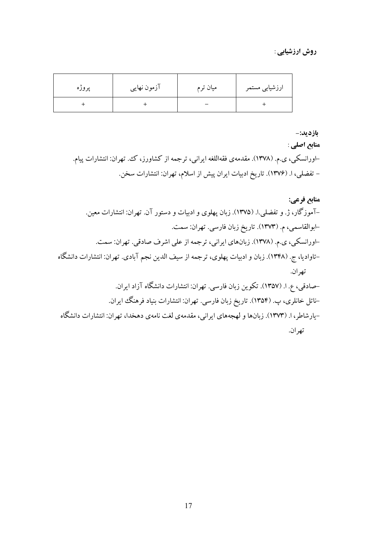#### روش ارزشیابی :

| پروژه | آزمون نهایی | میان ترم | ارزشیابی مستمر |
|-------|-------------|----------|----------------|
|       |             |          |                |

بازديد:-

منابع اصلي :

–اورانسکی، ی.م. (۱۳۷۸). مقدمهی فقهاللغه ایرانی، ترجمه از کشاورز، ک، تهران: انتشارات پیام. - تفضلي، ا. (١٣٧۶). تاريخ ادبيات ايران پيش از اسلام، تهران: انتشارات سخن.

# منابع فرعي: –آموزگار، ژ. و تفضلی.ا. (۱۳۷۵). زبان یهلوی و ادبیات و دستور آن. تهران: انتشارات معین. -ابوالقاسمي، م. (١٣٧٣). تاريخ زبان فارسي. تهران: سمت. -اورانسکی، ی.م. (۱۳۷۸). زبانهای ایرانی، ترجمه از علی اشرف صادقی. تهران: سمت. –تاوادیا، ج. (۱۳۴۸). زبان و ادبیات پهلوی، ترجمه از سیف الدین نجم آبادی. تهران: انتشارات دانشگاه تهران. -صادقی، ع. ا. (۱۳۵۷). تکوین زبان فارسی. تهران: انتشارات دانشگاه آزاد ایران. -ناتل خانلري، پ. (۱۳۵۴). تاريخ زبان فارسي. تهران: انتشارات بنياد فرهنگ ايران. -پارشاطر، ا. (۱۳۷۳). زیانها و لهجههای ایرانی، مقدمهی لغت نامهی دهخدا، تهران: انتشارات دانشگاه تھ ان.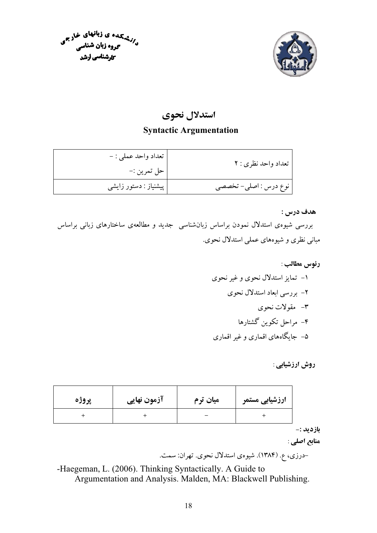



## استدلال نحوي

### **Syntactic Argumentation**

| تعداد واحد نظري : ٢   | ' تعداد واحد عملي : -   |
|-----------------------|-------------------------|
|                       | حل تمرين :-             |
| نوع درس : اصلی- تخصصی | ٔ پیشنیاز : دستور زایشی |

هدف درس :

بررسی شیوهی استدلال نمودن براساس زبانشناسی جدید و مطالعهی ساختارهای زبانی براساس مبانی نظری و شیوههای عملی استدلال نحوی.

| پروژه | آزمون نهایی | میان ترم | ارزشیابی مستمر |
|-------|-------------|----------|----------------|
|       |             |          |                |

بازديد :-

منابع اصلي :

-درزي، ع. (١٣٨۴). شيوهي استدلال نحوي. تهران: سمت.

-Haegeman, L. (2006). Thinking Syntactically. A Guide to Argumentation and Analysis. Malden, MA: Blackwell Publishing.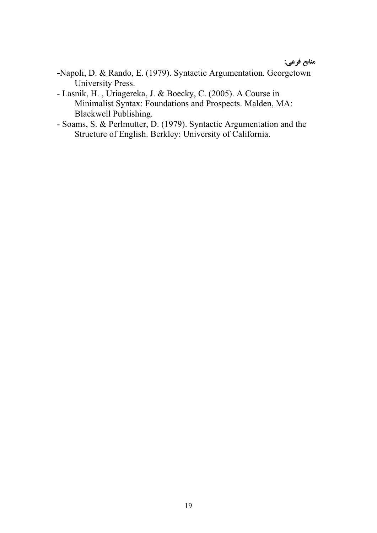## .<br>منابع فرعي:

- **-**Napoli, D. & Rando, E. (1979). Syntactic Argumentation. Georgetown University Press.
- Lasnik, H. , Uriagereka, J. & Boecky, C. (2005). A Course in Minimalist Syntax: Foundations and Prospects. Malden, MA: Blackwell Publishing.
- Soams, S. & Perlmutter, D. (1979). Syntactic Argumentation and the Structure of English. Berkley: University of California.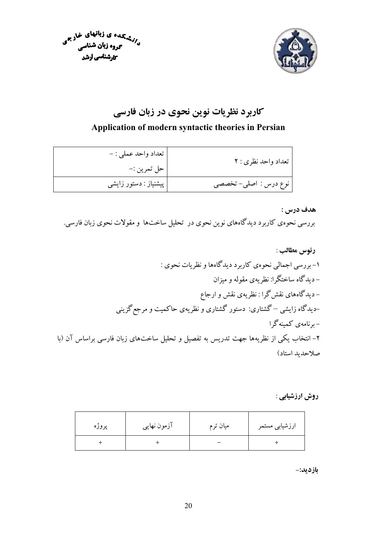



 $\ddot{\psi}$ 

# کاربرد نظریات نوین نحوی در زبان فارسی

### Application of modern syntactic theories in Persian

| تعداد واحد نظري : ٢   | ' تعداد واحد عملي : -<br>حل تمرين :- |
|-----------------------|--------------------------------------|
| نوع درس : اصلي- تخصصي | پیشنیاز : دستور زایشی                |

### هدف درس :

بررسی نحوهی کاربرد دیدگاههای نوین نحوی در تحلیل ساختها و مقولات نحوی زبان فارسی.

### روش ارزشیابی :

| پروژه | آزمون نهایی | میان ترم | ارزشیابی مستمر |
|-------|-------------|----------|----------------|
|       |             |          |                |

بازديد:-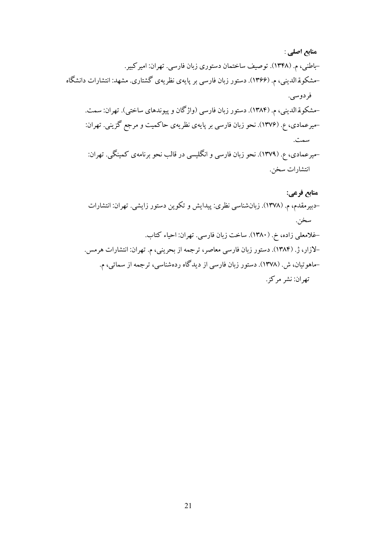- منابع اصلي : -باطني، م. (١٣۴٨). توصيف ساختمان دستوري زبان فارسي. تهران: امير كبير. -مشکو قمالدینی، م. (۱۳۶۶). دستور زبان فارسی بر پایهی نظریهی گشتاری. مشهد: انتشارات دانشگاه فردوسي. -مشکوقمالدینی، م. (۱۳۸۴). دستور زبان فارسی (واژگان و پیوندهای ساختی). تهران: سمت. -میرعمادی، ع. (۱۳۷۶). نحو زبان فارسی بر پایهی نظریهی حاکمیت و مرجع گزینی. تهران: سمت.
	- -میرعمادی، ع. (۱۳۷۹). نحو زبان فارسی و انگلیسی در قالب نحو برنامهی کمینگی. تهران: انتشارات سخن.
	- منابع فرعي: -دبیرمقدم، م. (۱۳۷۸). زبانشناسی نظری: پیدایش و تکوین دستور زایشی. تهران: انتشارات سخن. -غلامعلي زاده، خ. (١٣٨٠). ساخت زبان فارسي. تهران: احياء كتاب. -لازار، ژ. (۱۳۸۴). دستور زبان فارسی معاصر، ترجمه از بحرینی، م. تهران: انتشارات هرمس. -ماهوتیان، ش. (۱۳۷۸). دستور زبان فارسی از دیدگاه ردهشناسی، ترجمه از سمائی، م. تهران: نشر مركز.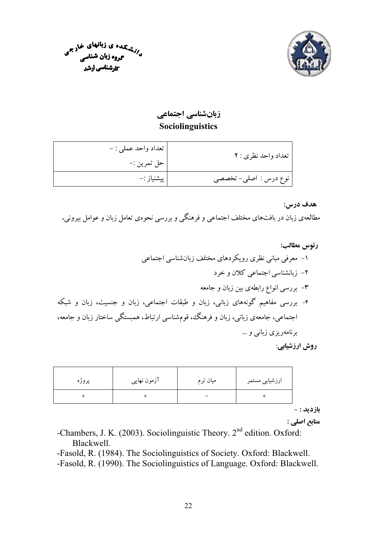



زبانشناسي اجتماعي Sociolinguistics

| تعداد واحد نظري : ٢   | تعداد واحد عملي : - |
|-----------------------|---------------------|
|                       | حل تمرين :-         |
| نوع درس : اصلي- تخصصي | پیشنیاز :–          |

هدف درس:

مطالعهی زبان در بافتهای مختلف اجتماعی و فرهنگی و بررسی نحوهی تعامل زبان و عوامل بیرونی.

روش ارزشیابی:

| پروژه | آزمون نهایی | میان ترم | ارزشیابی مستمر |
|-------|-------------|----------|----------------|
|       |             |          |                |

**بازديد :** -

منابع اصلي :

-Chambers, J. K. (2003). Sociolinguistic Theory. 2<sup>nd</sup> edition. Oxford: Blackwell.

-Fasold, R. (1984). The Sociolinguistics of Society. Oxford: Blackwell. -Fasold, R. (1990). The Sociolinguistics of Language. Oxford: Blackwell.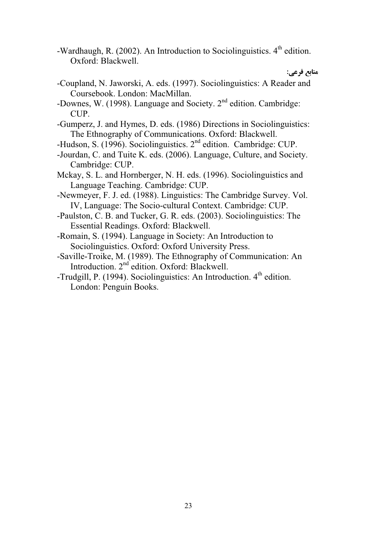-Wardhaugh, R. (2002). An Introduction to Sociolinguistics.  $4^{\text{th}}$  edition. Oxford: Blackwell.

منابع فرعي:

- -Coupland, N. Jaworski, A. eds. (1997). Sociolinguistics: A Reader and Coursebook. London: MacMillan.
- -Downes, W. (1998). Language and Society. 2<sup>nd</sup> edition. Cambridge: CUP.
- -Gumperz, J. and Hymes, D. eds. (1986) Directions in Sociolinguistics: The Ethnography of Communications. Oxford: Blackwell.
- -Hudson, S. (1996). Sociolinguistics. 2<sup>nd</sup> edition. Cambridge: CUP.
- -Jourdan, C. and Tuite K. eds. (2006). Language, Culture, and Society. Cambridge: CUP.
- Mckay, S. L. and Hornberger, N. H. eds. (1996). Sociolinguistics and Language Teaching. Cambridge: CUP.
- -Newmeyer, F. J. ed. (1988). Linguistics: The Cambridge Survey. Vol. IV, Language: The Socio-cultural Context. Cambridge: CUP.
- -Paulston, C. B. and Tucker, G. R. eds. (2003). Sociolinguistics: The Essential Readings. Oxford: Blackwell.
- -Romain, S. (1994). Language in Society: An Introduction to Sociolinguistics. Oxford: Oxford University Press.
- -Saville-Troike, M. (1989). The Ethnography of Communication: An Introduction. 2<sup>nd</sup> edition. Oxford: Blackwell.
- -Trudgill, P. (1994). Sociolinguistics: An Introduction. 4<sup>th</sup> edition. London: Penguin Books.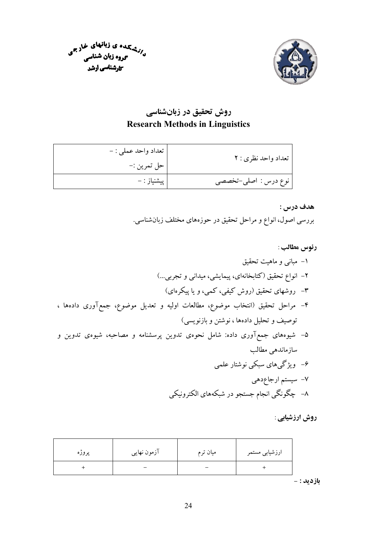



روش تحقیق در زبانشناسی **Research Methods in Linguistics** 

| تعداد واحد نظري : ٢  | تعداد واحد عملي : - |
|----------------------|---------------------|
|                      | حل تمرين :-         |
| نوع درس : اصلي-تخصصي | َ پِيشنياز : –      |

هدف درس : بررسی اصول، انواع و مراحل تحقیق در حوزههای مختلف زبانشناسی.

روش ارزشیابی :

| پروژه | آزمون نهایی | میان ترم | ارزشیابی مستمر |
|-------|-------------|----------|----------------|
|       |             |          |                |

**بازدید :** -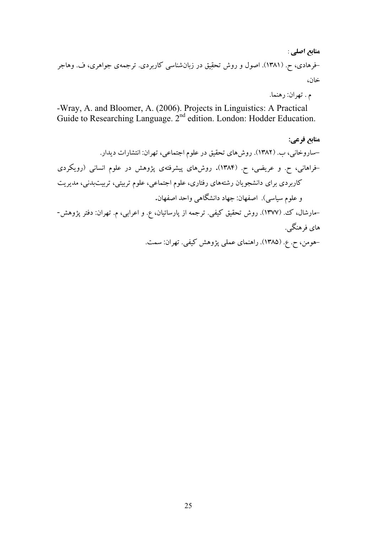## منابع اصلي : -فرهادي، ح. (۱۳۸۱). اصول و روش تحقيق در زبانشناسي كاربردي. ترجمهي جواهري، ف. وهاجر خان،

م . تهران: رهنما.

-Wray, A. and Bloomer, A. (2006). Projects in Linguistics: A Practical Guide to Researching Language. 2<sup>nd</sup> edition. London: Hodder Education.

منابع فرعي: -ساروخانی، ب. (١٣٨٢). روشهای تحقیق در علوم اجتماعی، تهران: انتشارات دیدار. -فراهانی، ح. و عریضی، ح. (۱۳۸۴). روشهای پیشرفتهی پژوهش در علوم انسانی (رویکردی کاربردی برای دانشجویان رشتههای رفتاری، علوم اجتماعی، علوم تربیتی، تربیتبدنی، مدیریت و علوم سياسي). اصفهان: جهاد دانشگاهي واحد اصفهان. –مارشال، ک، (۱۳۷۷). روش تحقیق کیفی. ترجمه از پارسائیان، ع. و اعرابی، م. تهران: دفتر پژوهش-

> های فرهنگے ٖ. -هومن، ح. ع. (۱۳۸۵). راهنمای عملی پژوهش کیفی. تهران: سمت.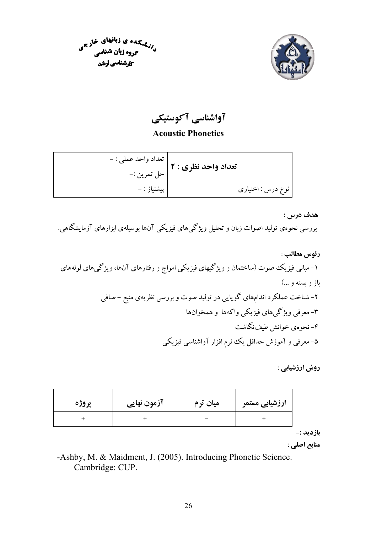



آواشناسی آکوستیکی

**Acoustic Phonetics** 

| تعداد واحد نظری : ۲ | <sub>ا</sub> تعداد واحد عملي : - |
|---------------------|----------------------------------|
|                     | حل تمرين :-                      |
| نوع درس : اختیاری   | َ پیشنیاز : –                    |

هدف درس :

بررسی نحوهی تولید اصوات زبان و تحلیل ویژگیهای فیزیکی آنها بوسیلهی ابزارهای آزمایشگاهی.

| پروژه | آزمون نهایی | میان ترم | ارزشیابی مستمر |
|-------|-------------|----------|----------------|
|       |             |          |                |

بازديد :-

منابع اصلي :

-Ashby, M. & Maidment, J. (2005). Introducing Phonetic Science. Cambridge: CUP.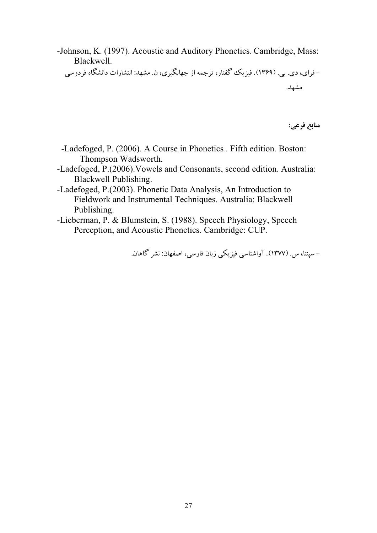-Johnson, K. (1997). Acoustic and Auditory Phonetics. Cambridge, Mass: Blackwell.

- فرای، دی. بی. (۱۳۶۹). فیزیک گفتار، ترجمه از جهانگیری، ن. مشهد: انتشارات دانشگاه فردوسی مشهد.

**منابع فرعي:** 

- -Ladefoged, P. (2006). A Course in Phonetics . Fifth edition. Boston: Thompson Wadsworth.
- -Ladefoged, P.(2006).Vowels and Consonants, second edition. Australia: Blackwell Publishing.
- -Ladefoged, P.(2003). Phonetic Data Analysis, An Introduction to Fieldwork and Instrumental Techniques. Australia: Blackwell Publishing.
- -Lieberman, P. & Blumstein, S. (1988). Speech Physiology, Speech Perception, and Acoustic Phonetics. Cambridge: CUP.

– سینتا، س. (۱۳۷۷). آواشناسی فیز یکی زبان فارسی، اصفهان: نشر گاهان.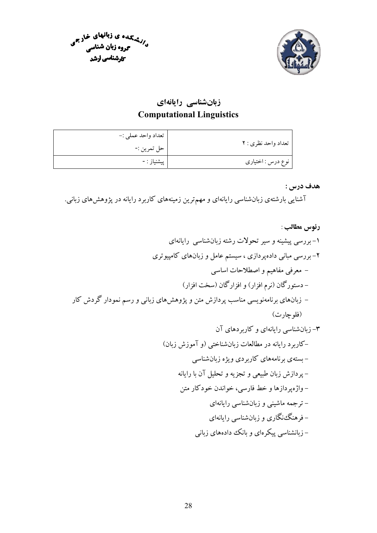



زبانشناسی رایانهای **Computational Linguistics** 

|                     | تعداد واحد عملي :- |
|---------------------|--------------------|
| تعداد واحد نظری : ۲ | حل تمرين :-        |
| نوع درس : اختیاری   | َ پیشنیاز : -      |

هدف درس :

آشنایی بارشتهی زبانشناسی رایانهای و مهمترین زمینههای کاربرد رایانه در پژوهش های زبانی.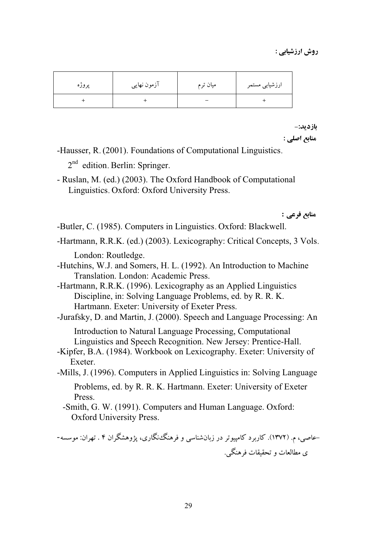روش ارزشیاہے :

| پروژه | آزمون نهايي | میان ترم | ارزشیابی مستمر |
|-------|-------------|----------|----------------|
|       |             |          |                |

بازديد:-منابع اصلى :

-Hausser, R. (2001). Foundations of Computational Linguistics.

 $2<sup>nd</sup>$  edition. Berlin: Springer.

- Ruslan, M. (ed.) (2003). The Oxford Handbook of Computational Linguistics. Oxford: Oxford University Press.

منابع فرعي :

- -Butler, C. (1985). Computers in Linguistics. Oxford: Blackwell.
- -Hartmann, R.R.K. (ed.) (2003). Lexicography: Critical Concepts, 3 Vols. London: Routledge.
- -Hutchins, W.J. and Somers, H. L. (1992). An Introduction to Machine Translation. London: Academic Press.

-Hartmann, R.R.K. (1996). Lexicography as an Applied Linguistics Discipline, in: Solving Language Problems, ed. by R. R. K. Hartmann. Exeter: University of Exeter Press.

-Jurafsky, D. and Martin, J. (2000). Speech and Language Processing: An

Introduction to Natural Language Processing, Computational Linguistics and Speech Recognition. New Jersey: Prentice-Hall.

-Kipfer, B.A. (1984). Workbook on Lexicography. Exeter: University of Exeter.

-Mills, J. (1996). Computers in Applied Linguistics in: Solving Language Problems, ed. by R. R. K. Hartmann. Exeter: University of Exeter Press.

-Smith, G. W. (1991). Computers and Human Language. Oxford: **Oxford University Press.** 

–عاصی، م. (۱۳۷۲). کاربرد کامپیوتر در زبانشناسی و فرهنگ،نگاری، یژوهشگران ۴ . تهران: موسسه-ي مطالعات و تحقيقات فرهنگي.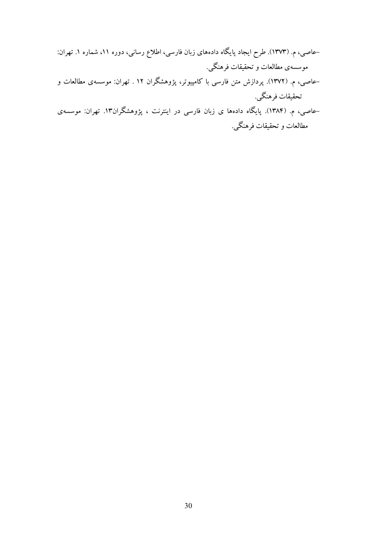- –عاصبی، م. (۱۳۷۳). طرح ایجاد پایگاه دادههای زبان فارسی، اطلاع رسانی، دوره ۱۱، شماره ۱. تهران: موسسه ی مطالعات و تحقیقات فرهنگی. –عاصی، م. (۱۳۷۲). پردازش متن فارسی با کامپیوتر، پژوهشگران ۱۲ . تهران: موسسهی مطالعات و
- تحقيقات فرهنگي. –عاصی، م. (۱۳۸۴). پایگاه دادهها ی زبان فارسی در اینترنت ، پژوهشگران۱۳. تهران: موسسهی
	- مطالعات و تحقیقات فرهنگی.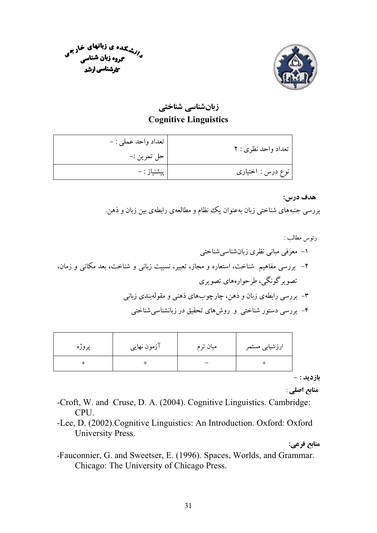



زبانشناسی شناختی **Cognitive Linguistics** 

| تعداد واحد نظري : ٢ | تعداد واحد عملي : - |
|---------------------|---------------------|
|                     | حل تمرين :-         |
| نوع درس : اختیاری   | پیشنیاز : –         |

#### هدف درس:

بررسی جنبههای شناختی زبان بهعنوان یک نظام و مطالعهی رابطهی بین زبان و ذهن.

| پروژه | آزمون نهایی | میان ترم | ارزشیابی مستمر |
|-------|-------------|----------|----------------|
|       |             |          |                |

بازديد : -

منابع اصلي :

- -Croft, W. and Cruse, D. A. (2004). Cognitive Linguistics. Cambridge: CPU.
- -Lee, D. (2002). Cognitive Linguistics: An Introduction. Oxford: Oxford University Press.

منابع فرعي:

-Fauconnier, G. and Sweetser, E. (1996). Spaces, Worlds, and Grammar. Chicago: The University of Chicago Press.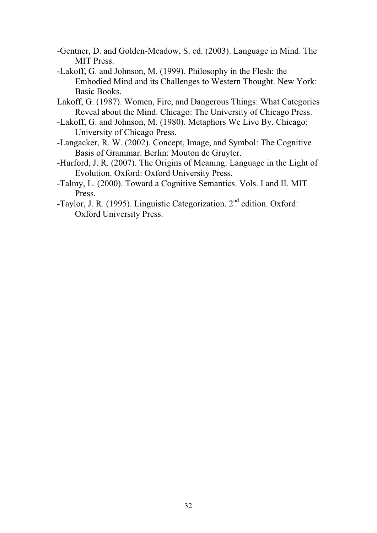- -Gentner, D. and Golden-Meadow, S. ed. (2003). Language in Mind. The MIT Press.
- -Lakoff, G. and Johnson, M. (1999). Philosophy in the Flesh: the Embodied Mind and its Challenges to Western Thought. New York: Basic Books.
- Lakoff, G. (1987). Women, Fire, and Dangerous Things: What Categories Reveal about the Mind. Chicago: The University of Chicago Press.
- -Lakoff, G. and Johnson, M. (1980). Metaphors We Live By. Chicago: University of Chicago Press.
- -Langacker, R. W. (2002). Concept, Image, and Symbol: The Cognitive Basis of Grammar. Berlin: Mouton de Gruyter.
- -Hurford, J. R. (2007). The Origins of Meaning: Language in the Light of Evolution. Oxford: Oxford University Press.
- -Talmy, L. (2000). Toward a Cognitive Semantics. Vols. I and II. MIT Press.
- -Taylor, J. R. (1995). Linguistic Categorization. 2nd edition. Oxford: Oxford University Press.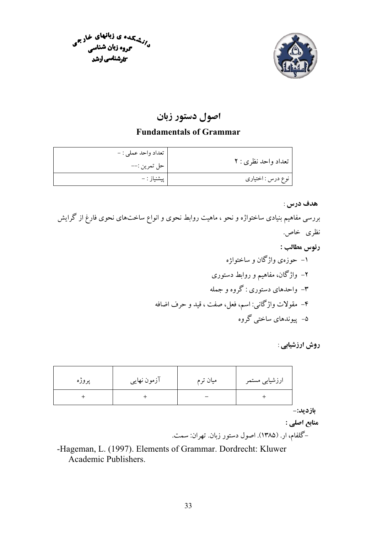



## اصول دستور زبان

### **Fundamentals of Grammar**

|                     | تعداد واحد عملي : - |
|---------------------|---------------------|
| تعداد واحد نظري : ٢ | حل تمرين :––        |
| نوع درس : اختیاری   | پیشنیاز : –         |

#### هدف درس :

بررسی مفاهیم بنیادی ساختواژه و نحو ، ماهیت روابط نحوی و انواع ساختهای نحوی فارغ از گرایش نظري خاص. رئوس مطالب : ۱– حوزهی واژگان و ساختواژه ۲– واژگان، مفاهیم و روابط دستوری ۳- واحدهای دستوری : گروه و جمله ۴– مقولات واژگانی: اسم، فعل، صفت ، قید و حرف اضافه ۵- پیوندهای ساختی گروه

### روش ارزشیاہے :

|          | ارزشیابی مستمر | میان ترم | آزمون نهایی | پروژه |
|----------|----------------|----------|-------------|-------|
|          |                |          |             | +     |
| بازديد:- |                |          |             |       |

منابع اصلي :

-گلفام، ار. (۱۳۸۵). اصول دستور زبان. تهران: سمت.

-Hageman, L. (1997). Elements of Grammar. Dordrecht: Kluwer Academic Publishers.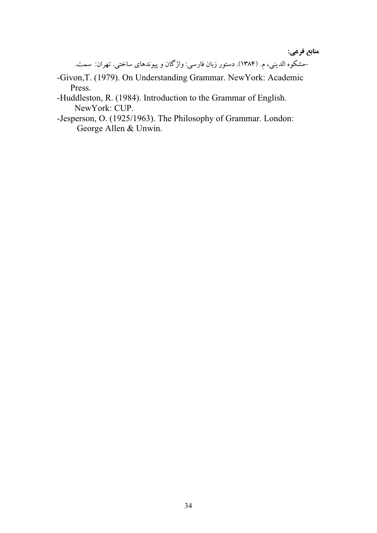**منابع فرعي:** 

-مشکو و الدینه ، م. (۱۳۸۴). دستور زبان فارسه : واژ گان و بیوندهای ساخته ، تصران: سمت.

- -Givon,T. (1979). On Understanding Grammar. NewYork: Academic Press.
- -Huddleston, R. (1984). Introduction to the Grammar of English. NewYork: CUP.
- -Jesperson, O. (1925/1963). The Philosophy of Grammar. London: George Allen & Unwin.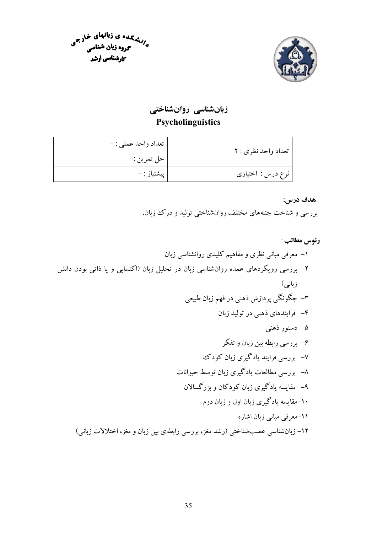



زبانشناسی روانشناختی Psycholinguistics

| تعداد واحد نظري : ٢ | تعداد واحد عملي : - |
|---------------------|---------------------|
|                     | حل تمرين :-         |
| نوع درس : اختیاری   | پیشنیاز : –         |

هدف درس:

بررسی و شناخت جنبههای مختلف روانشناختی تولید و درک زبان.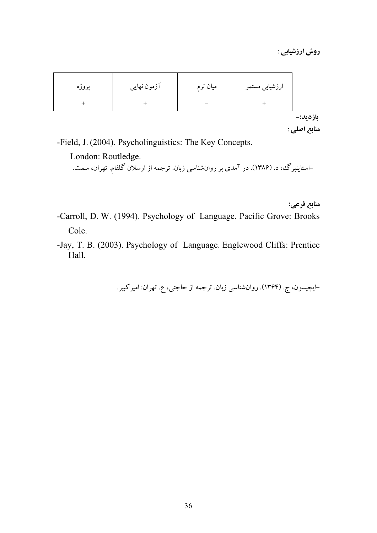روش ارزشیابی :

| پروژه | آزمون نهایی | میان ترم | ارزشیابی مستمر |
|-------|-------------|----------|----------------|
|       |             |          |                |

بازديد:-منابع اصلي :

منابع فرعي:

-Field, J. (2004). Psycholinguistics: The Key Concepts.

London: Routledge.

–استاینبرگ، د. (۱۳۸۶). در آمدی بر روانشناسی زبان. ترجمه از ارسلان گلفام. تهران، سمت.

-Carroll, D. W. (1994). Psychology of Language. Pacific Grove: Brooks Cole.

-Jay, T. B. (2003). Psychology of Language. Englewood Cliffs: Prentice Hall.

–ایچیسون، ج. (۱۳۶۴). روانشناسی زبان. ترجمه از حاجتی، ع. تهران: امیرکبیر.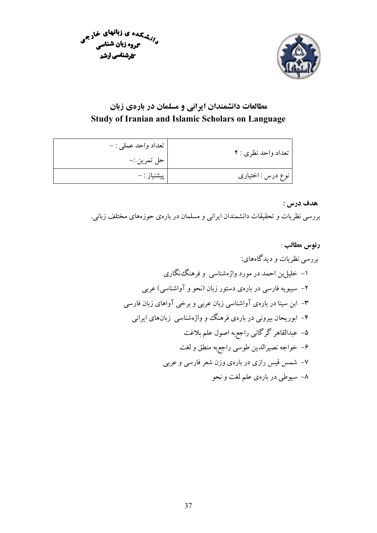



## مطالعات دانشمندان ایرانی و مسلمان در بارهی زبان Study of Iranian and Islamic Scholars on Language

| تعداد واحد نظري : ٢ | تعداد واحد عملي : -<br>حل تمرين :- |
|---------------------|------------------------------------|
| نوع درس : اختیاری   | پیشنیاز : –                        |

#### هدف درس :

بررسی نظریات و تحقیقات دانشمندان ایرانی و مسلمان در بارهی حوزههای مختلف زبانی.